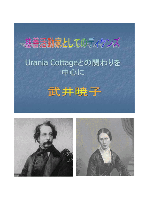



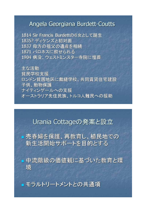#### Angela Georgiana Burdett-Coutts

1814 Sir Francis Burdettの6女として誕生 1835? ディケンズと初対面 1837 母方の祖父の遺産を相続 1871 バロネスに叙せられる 1904 病没、ウェストミンスター寺院に埋葬

主な活動 貧民学校支援 ロンドン貧困地区に裁縫学校、共同賃貸住宅建設 子供、動物保護 ナイティンゲールへの支援 オーストラリア先住民族、トルコ人難民への援助

Urania Cottageの発案と設立

市春婦を保護、再教育し、植民地での 新生活開始サポートを目的とする

中流階級の価値観に基づいた教育と環 境

■ モラルトリートメントとの共通項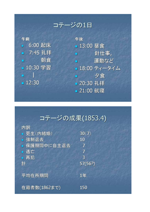コテージの1日

午前 ■ 6:00 起床 ■ 7:45 礼拝 ■ 朝食 10:30 学習 **The Second Contract**  $12:30$ 

午後 13:00 昼食 • 針仕事, ■ 運動など ■ 18:00 ティータイム ■ 夕食 ■ 20:30 礼拝 ■ 21:00 就寝

## コテージの成果(1853.4)

| 内訳           |         |
|--------------|---------|
| ■ 更生(内結婚)    | 30(7)   |
| ■ 強制退去       | 10      |
| ■ 保護期間中に自主退去 | 7       |
| 逃亡           | 7       |
| ■ 再犯         | 3       |
| 計            | 57(56?) |
|              |         |
| 平均在所期間       | 1年      |
|              |         |
| 在籍者数(1862まで) | 150     |
|              |         |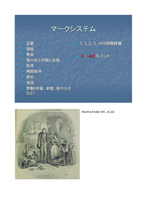



Martha Endell (DC, ch.22)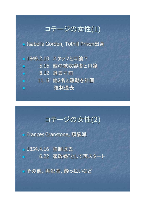# コテージの女性(1)

• Isabella Gordon, Tothill Prison出身

■ 1849.2.10 スタッフと口論? ■ 5.16 他の被収容者と口論 8.12 退去寸前 ■ 11.6 他2名と騒動を計画 強制退去 п

## コテージの女性(2)

• Frances Cranstone, 頭脳派

• 1854.4.16 強制退去

■ 6.22 家政婦?として再スタート

■ その他、再犯者、酔っ払いなど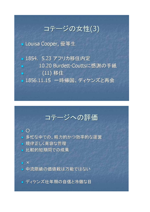#### コテージの女性(3)

• Louisa Cooper, 優等生

■ 1854. 5.23 アフリカ移住内定 10.20 Burdett-Couttsに感謝の手紙 (11) 移住 ■ 1856.11.15 一時帰国、ディケンズと再会

# コテージへの評価

#### $\overline{\phantom{0}}$

- 多忙な中での、精力的かつ効率的な運営
- 規律正しく寛容な管理
- 比較的短期間での成果
- $\mathbb{R}$   $\times$

■ 中流階級の価値観は万能ではない

■ ディケンズ壮年期の自信と冷徹な目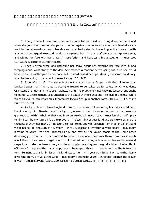#### **Urania Cottage**

1. The girl herself, now that it had really come to this, cried, and hung down her head, and when she got out at the door, stopped and leaned against the house for a minute or two before she went to the gate — in a most miserable and wretched state. As it was impossible to relent, with any hope of doing good, we could not do so. We passed her in the lane, afterwards, going slowly away, and wiping her face with her shawl. A more forlorn and hopeless thing altogether, I never saw. (1849.11.6, Dickens to Burdett-Coutts)

2. Then Martha arose, and gathering her shawl about her, covering her face with it, and weeping aloud, went slowly to the door. She stopped a moment before going out, as if she would have uttered something or turned back; but no word passed her lips. Making the same low, dreary, wretched moaning in her shawl, she went away. (DC, ch.22)

3. Soon after I left, Cranstone broke out against Louisa Cooper with that violence, that Louisa Cooper (half frightened to death) entreated to be locked up for safety, which was done, Cranstone then demanding to go straightway, and Mrs Marchmont not knowing whether she ought to let her, Cranstone made proclamation to the establishement that she intended in the meanwhile "to be a Devil." Upon which Mrs. Marchmont locked her up in another room. (1854.4.16, Dickens to Burdett-Coutts)

4. As I am about to leave England I am most anxious that one of my last acts should be to thank you my kind Benefactress for all your goodness to me I cannot find words to express my gratitude but with the help of that kind Providence who will never leave me nor forsake me if I pray to him I will by my future life try to prove it I often think of your kind and gentle words and the thoughts of them has many times been a comfort to me and will be when I am in a far distant land we do not sail till the 10th of November Mrs Boyle goes to Plymouth a week before may every blessing be yours Dear and Honnored Lady and may all the young people at the Home prove deserving your bounty it is a comfort to know there is one placed over them who cares so much about them I can never forget how much I dreaded her coming or how soon I learned to love and respect her she has been so very kind in writing to me and given me good advice I often think of Urania Cottage and the many happy hours I have spent there I have taken the liberty to write to Mr Tennant to thank him for all his kindness to me with your permission I will take the liberty of writing on my arrival at the Cape may every blessing be yours' Honnored Madam is the prayer of your Humble Servant (1854.10.20, Cooper to Burdett-Coutts,  $\qquad \qquad$ )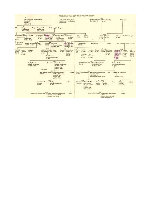